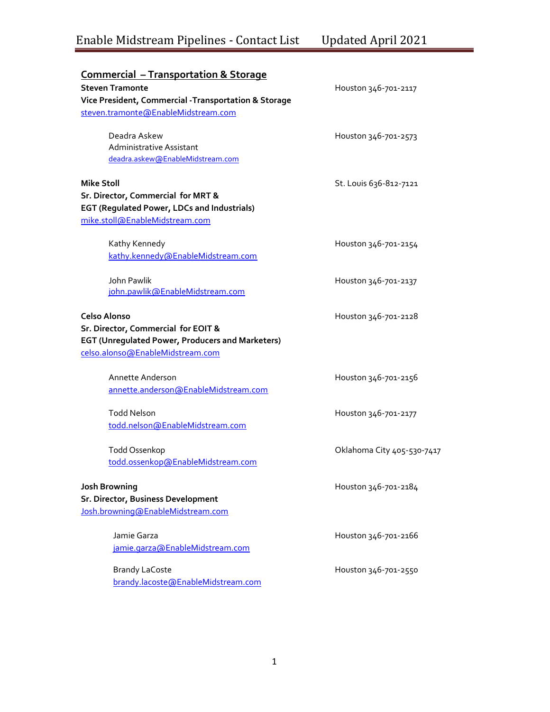# Enable Midstream Pipelines - Contact List Updated April 2021

| <b>Commercial - Transportation &amp; Storage</b><br><b>Steven Tramonte</b><br>Vice President, Commercial -Transportation & Storage<br>steven.tramonte@EnableMidstream.com | Houston 346-701-2117       |
|---------------------------------------------------------------------------------------------------------------------------------------------------------------------------|----------------------------|
| Deadra Askew<br>Administrative Assistant<br>deadra.askew@EnableMidstream.com                                                                                              | Houston 346-701-2573       |
| <b>Mike Stoll</b><br>Sr. Director, Commercial for MRT &<br><b>EGT (Regulated Power, LDCs and Industrials)</b><br>mike.stoll@EnableMidstream.com                           | St. Louis 636-812-7121     |
| Kathy Kennedy<br>kathy.kennedy@EnableMidstream.com                                                                                                                        | Houston 346-701-2154       |
| John Pawlik<br>john.pawlik@EnableMidstream.com                                                                                                                            | Houston 346-701-2137       |
| Celso Alonso<br>Sr. Director, Commercial for EOIT &<br><b>EGT (Unregulated Power, Producers and Marketers)</b><br>celso.alonso@EnableMidstream.com                        | Houston 346-701-2128       |
| Annette Anderson<br>annette.anderson@EnableMidstream.com                                                                                                                  | Houston 346-701-2156       |
| <b>Todd Nelson</b><br>todd.nelson@EnableMidstream.com                                                                                                                     | Houston 346-701-2177       |
| <b>Todd Ossenkop</b><br>todd.ossenkop@EnableMidstream.com                                                                                                                 | Oklahoma City 405-530-7417 |
| <b>Josh Browning</b><br>Sr. Director, Business Development<br>Josh.browning@EnableMidstream.com                                                                           | Houston 346-701-2184       |
| Jamie Garza<br>jamie.garza@EnableMidstream.com                                                                                                                            | Houston 346-701-2166       |
| <b>Brandy LaCoste</b><br>brandy.lacoste@EnableMidstream.com                                                                                                               | Houston 346-701-2550       |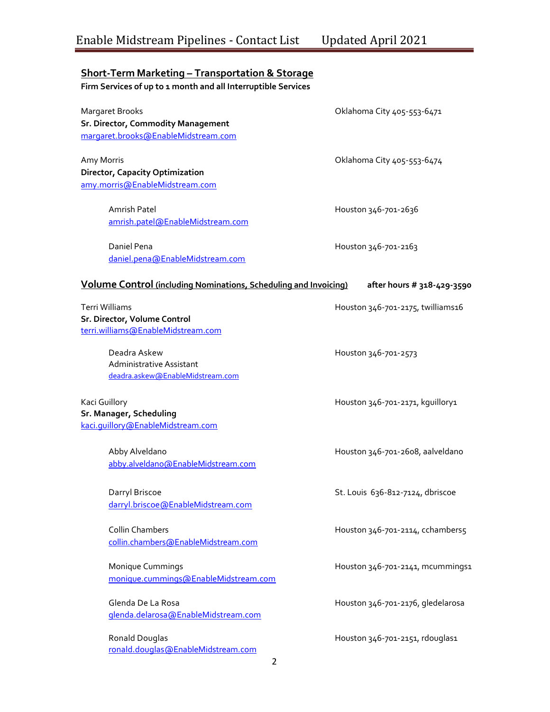## **Short-Term Marketing – Transportation & Storage**

**Firm Services of up to 1 month and all Interruptible Services** 

| Margaret Brooks                                                         | Oklahoma City 405-553-6471        |
|-------------------------------------------------------------------------|-----------------------------------|
| Sr. Director, Commodity Management                                      |                                   |
| margaret.brooks@EnableMidstream.com                                     |                                   |
| Amy Morris                                                              | Oklahoma City 405-553-6474        |
| <b>Director, Capacity Optimization</b>                                  |                                   |
| amy.morris@EnableMidstream.com                                          |                                   |
| Amrish Patel                                                            | Houston 346-701-2636              |
| amrish.patel@EnableMidstream.com                                        |                                   |
| Daniel Pena                                                             | Houston 346-701-2163              |
| daniel.pena@EnableMidstream.com                                         |                                   |
|                                                                         |                                   |
| <b>Volume Control</b> (including Nominations, Scheduling and Invoicing) | after hours # 318-429-3590        |
| Terri Williams                                                          | Houston 346-701-2175, twilliams16 |
| Sr. Director, Volume Control                                            |                                   |
| terri.williams@EnableMidstream.com                                      |                                   |
| Deadra Askew                                                            | Houston 346-701-2573              |
| Administrative Assistant                                                |                                   |
| deadra.askew@EnableMidstream.com                                        |                                   |
| Kaci Guillory                                                           | Houston 346-701-2171, kguillory1  |
| Sr. Manager, Scheduling                                                 |                                   |
| kaci.guillory@EnableMidstream.com                                       |                                   |
| Abby Alveldano                                                          | Houston 346-701-2608, aalveldano  |
| abby.alveldano@EnableMidstream.com                                      |                                   |
|                                                                         |                                   |
| Darryl Briscoe                                                          | St. Louis 636-812-7124, dbriscoe  |
| darryl.briscoe@EnableMidstream.com                                      |                                   |
| <b>Collin Chambers</b>                                                  | Houston 346-701-2114, cchambers5  |
| collin.chambers@EnableMidstream.com                                     |                                   |
| Monique Cummings                                                        | Houston 346-701-2141, mcummings1  |
| monique.cummings@EnableMidstream.com                                    |                                   |
| Glenda De La Rosa                                                       | Houston 346-701-2176, gledelarosa |
| glenda.delarosa@EnableMidstream.com                                     |                                   |
|                                                                         |                                   |
| Ronald Douglas                                                          | Houston 346-701-2151, rdouglas1   |
| ronald.douglas@EnableMidstream.com<br>2                                 |                                   |
|                                                                         |                                   |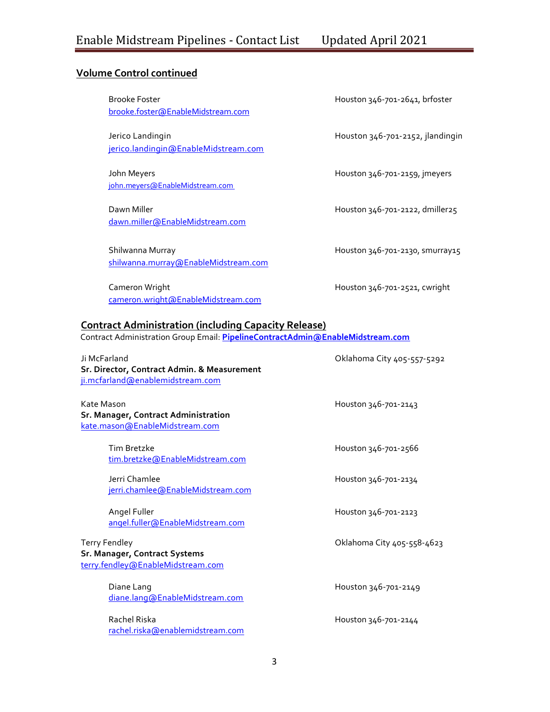#### **Volume Control continued**

Brooke Foster Houston 346-701-2641, brfoster [brooke.foster@EnableMidstream.com](mailto:brooke.foster@EnableMidstream.com)

Jerico Landingin Houston 346-701-2152, jlandingin [jerico.landingin@EnableMidstream.com](mailto:jerico.landingin@EnableMidstream.com)

John Meyers Houston 346-701-2159, jmeyers [john.meyers@EnableMidstream.com](mailto:john.meyers@EnableMidstream.com)

Dawn Miller **Now Account 2018** Houston 346-701-2122, dmiller25 [dawn.miller@EnableMidstream.com](mailto:dawn.miller@EnableMidstream.com)

Shilwanna Murray **Houston 346-701-2130, smurray15** [shilwanna.murray@EnableMidstream.com](mailto:shilwanna.murray@EnableMidstream.com)

Cameron Wright Houston 346-701-2521, cwright [cameron.wright@EnableMidstream.com](mailto:cameron.wright@EnableMidstream.com)

#### **Contract Administration (including Capacity Release)**

Contract Administration Group Email: **[PipelineContractAdmin@EnableMidstream.com](mailto:PipelineContractAdmin@EnableMidstream.com)**

| Ji McFarland<br>Sr. Director, Contract Admin. & Measurement<br>ji.mcfarland@enablemidstream.com | Oklahoma City 405-557-5292 |
|-------------------------------------------------------------------------------------------------|----------------------------|
| Kate Mason<br>Sr. Manager, Contract Administration<br>kate.mason@EnableMidstream.com            | Houston 346-701-2143       |
| Tim Bretzke<br>tim.bretzke@EnableMidstream.com                                                  | Houston 346-701-2566       |
| Jerri Chamlee<br>jerri.chamlee@EnableMidstream.com                                              | Houston 346-701-2134       |
| Angel Fuller<br>angel.fuller@EnableMidstream.com                                                | Houston 346-701-2123       |
| <b>Terry Fendley</b><br>Sr. Manager, Contract Systems<br>terry.fendley@EnableMidstream.com      | Oklahoma City 405-558-4623 |
| Diane Lang<br>diane.lang@EnableMidstream.com                                                    | Houston 346-701-2149       |
| Rachel Riska<br>rachel.riska@enablemidstream.com                                                | Houston 346-701-2144       |